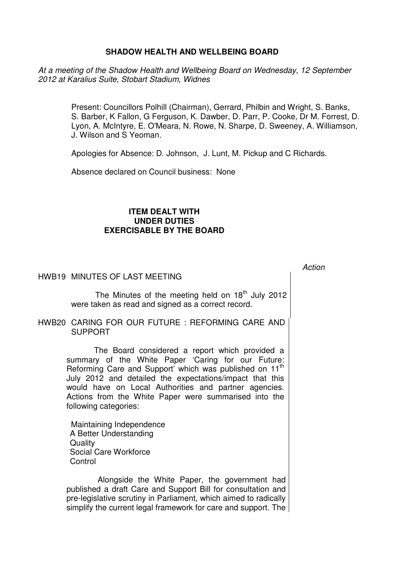# **SHADOW HEALTH AND WELLBEING BOARD**

At a meeting of the Shadow Health and Wellbeing Board on Wednesday, 12 September 2012 at Karalius Suite, Stobart Stadium, Widnes

> Present: Councillors Polhill (Chairman), Gerrard, Philbin and Wright, S. Banks, S. Barber, K Fallon, G Ferguson, K. Dawber, D. Parr, P. Cooke, Dr M. Forrest, D. Lyon, A. McIntyre, E. O'Meara, N. Rowe, N. Sharpe, D. Sweeney, A. Williamson, J. Wilson and S Yeoman.

Apologies for Absence: D. Johnson, J. Lunt, M. Pickup and C Richards.

Absence declared on Council business: None

## **ITEM DEALT WITH UNDER DUTIES EXERCISABLE BY THE BOARD**

## HWB19 MINUTES OF LAST MEETING

The Minutes of the meeting held on  $18<sup>th</sup>$  July 2012 were taken as read and signed as a correct record.

HWB20 CARING FOR OUR FUTURE : REFORMING CARE AND SUPPORT

> The Board considered a report which provided a summary of the White Paper 'Caring for our Future: Reforming Care and Support' which was published on 11<sup>th</sup> July 2012 and detailed the expectations/impact that this would have on Local Authorities and partner agencies. Actions from the White Paper were summarised into the following categories:

Maintaining Independence A Better Understanding **Quality** Social Care Workforce **Control** 

 Alongside the White Paper, the government had published a draft Care and Support Bill for consultation and pre-legislative scrutiny in Parliament, which aimed to radically simplify the current legal framework for care and support. The Action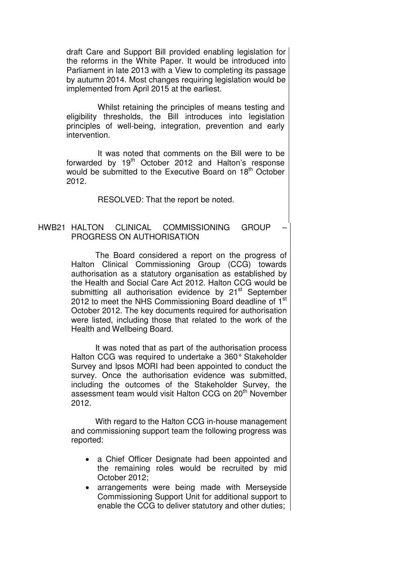draft Care and Support Bill provided enabling legislation for the reforms in the White Paper. It would be introduced into Parliament in late 2013 with a View to completing its passage by autumn 2014. Most changes requiring legislation would be implemented from April 2015 at the earliest.

 Whilst retaining the principles of means testing and eligibility thresholds, the Bill introduces into legislation principles of well-being, integration, prevention and early intervention.

 It was noted that comments on the Bill were to be forwarded by  $19<sup>th</sup>$  October 2012 and Halton's response would be submitted to the Executive Board on 18<sup>th</sup> October 2012.

RESOLVED: That the report be noted.

### HWB21 HALTON CLINICAL COMMISSIONING GROUP – PROGRESS ON AUTHORISATION

 The Board considered a report on the progress of Halton Clinical Commissioning Group (CCG) towards authorisation as a statutory organisation as established by the Health and Social Care Act 2012. Halton CCG would be submitting all authorisation evidence by 21<sup>st</sup> September 2012 to meet the NHS Commissioning Board deadline of  $1<sup>st</sup>$ October 2012. The key documents required for authorisation were listed, including those that related to the work of the Health and Wellbeing Board.

 It was noted that as part of the authorisation process Halton CCG was required to undertake a 360° Stakeholder Survey and Ipsos MORI had been appointed to conduct the survey. Once the authorisation evidence was submitted, including the outcomes of the Stakeholder Survey, the assessment team would visit Halton CCG on 20<sup>th</sup> November 2012.

 With regard to the Halton CCG in-house management and commissioning support team the following progress was reported:

- a Chief Officer Designate had been appointed and the remaining roles would be recruited by mid October 2012;
- arrangements were being made with Merseyside Commissioning Support Unit for additional support to enable the CCG to deliver statutory and other duties;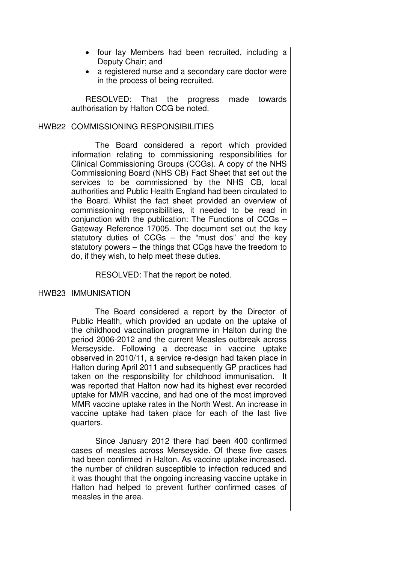- four lay Members had been recruited, including a Deputy Chair; and
- a registered nurse and a secondary care doctor were in the process of being recruited.

RESOLVED: That the progress made towards authorisation by Halton CCG be noted.

### HWB22 COMMISSIONING RESPONSIBILITIES

 The Board considered a report which provided information relating to commissioning responsibilities for Clinical Commissioning Groups (CCGs). A copy of the NHS Commissioning Board (NHS CB) Fact Sheet that set out the services to be commissioned by the NHS CB, local authorities and Public Health England had been circulated to the Board. Whilst the fact sheet provided an overview of commissioning responsibilities, it needed to be read in conjunction with the publication: The Functions of CCGs – Gateway Reference 17005. The document set out the key statutory duties of CCGs – the "must dos" and the key statutory powers – the things that CCgs have the freedom to do, if they wish, to help meet these duties.

RESOLVED: That the report be noted.

# HWB23 IMMUNISATION

 The Board considered a report by the Director of Public Health, which provided an update on the uptake of the childhood vaccination programme in Halton during the period 2006-2012 and the current Measles outbreak across Merseyside. Following a decrease in vaccine uptake observed in 2010/11, a service re-design had taken place in Halton during April 2011 and subsequently GP practices had taken on the responsibility for childhood immunisation. It was reported that Halton now had its highest ever recorded uptake for MMR vaccine, and had one of the most improved MMR vaccine uptake rates in the North West. An increase in vaccine uptake had taken place for each of the last five quarters.

 Since January 2012 there had been 400 confirmed cases of measles across Merseyside. Of these five cases had been confirmed in Halton. As vaccine uptake increased, the number of children susceptible to infection reduced and it was thought that the ongoing increasing vaccine uptake in Halton had helped to prevent further confirmed cases of measles in the area.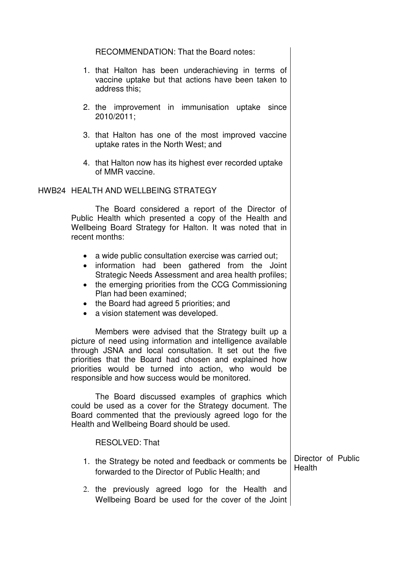RECOMMENDATION: That the Board notes:

- 1. that Halton has been underachieving in terms of vaccine uptake but that actions have been taken to address this;
- 2. the improvement in immunisation uptake since 2010/2011;
- 3. that Halton has one of the most improved vaccine uptake rates in the North West; and
- 4. that Halton now has its highest ever recorded uptake of MMR vaccine.

## HWB24 HEALTH AND WELLBEING STRATEGY

 The Board considered a report of the Director of Public Health which presented a copy of the Health and Wellbeing Board Strategy for Halton. It was noted that in recent months:

- a wide public consultation exercise was carried out;
- information had been gathered from the Joint Strategic Needs Assessment and area health profiles;
- the emerging priorities from the CCG Commissioning Plan had been examined;
- the Board had agreed 5 priorities; and
- a vision statement was developed.

Members were advised that the Strategy built up a picture of need using information and intelligence available through JSNA and local consultation. It set out the five priorities that the Board had chosen and explained how priorities would be turned into action, who would be responsible and how success would be monitored.

The Board discussed examples of graphics which could be used as a cover for the Strategy document. The Board commented that the previously agreed logo for the Health and Wellbeing Board should be used.

RESOLVED: That

- 1. the Strategy be noted and feedback or comments be forwarded to the Director of Public Health; and Director of Public Health
- 2. the previously agreed logo for the Health and Wellbeing Board be used for the cover of the Joint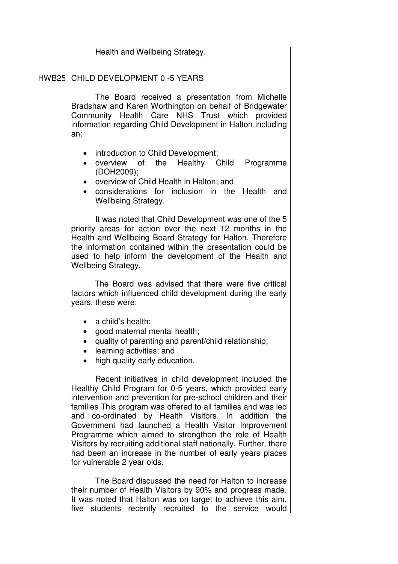Health and Wellbeing Strategy.

# HWB25 CHILD DEVELOPMENT 0 -5 YEARS

 The Board received a presentation from Michelle Bradshaw and Karen Worthington on behalf of Bridgewater Community Health Care NHS Trust which provided information regarding Child Development in Halton including an:

- introduction to Child Development;
- overview of the Healthy Child Programme (DOH2009);
- overview of Child Health in Halton; and
- considerations for inclusion in the Health and Wellbeing Strategy.

 It was noted that Child Development was one of the 5 priority areas for action over the next 12 months in the Health and Wellbeing Board Strategy for Halton. Therefore the information contained within the presentation could be used to help inform the development of the Health and Wellbeing Strategy.

The Board was advised that there were five critical factors which influenced child development during the early years, these were:

- a child's health:
- good maternal mental health;
- quality of parenting and parent/child relationship;
- learning activities; and
- high quality early education.

Recent initiatives in child development included the Healthy Child Program for 0-5 years, which provided early intervention and prevention for pre-school children and their families This program was offered to all families and was led and co-ordinated by Health Visitors. In addition the Government had launched a Health Visitor Improvement Programme which aimed to strengthen the role of Health Visitors by recruiting additional staff nationally. Further, there had been an increase in the number of early years places for vulnerable 2 year olds.

The Board discussed the need for Halton to increase their number of Health Visitors by 90% and progress made. It was noted that Halton was on target to achieve this aim, five students recently recruited to the service would